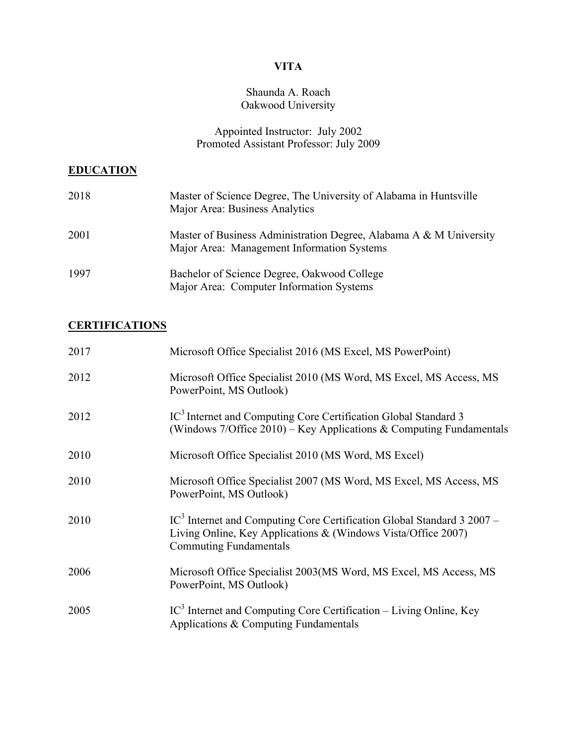# **VITA**

#### Shaunda A. Roach Oakwood University

#### Appointed Instructor: July 2002 Promoted Assistant Professor: July 2009

#### **EDUCATION**

| 2018 | Master of Science Degree, The University of Alabama in Huntsville<br>Major Area: Business Analytics              |
|------|------------------------------------------------------------------------------------------------------------------|
| 2001 | Master of Business Administration Degree, Alabama A & M University<br>Major Area: Management Information Systems |
| 1997 | Bachelor of Science Degree, Oakwood College<br>Major Area: Computer Information Systems                          |

# **CERTIFICATIONS**

| 2017 | Microsoft Office Specialist 2016 (MS Excel, MS PowerPoint)                                                                                                                 |
|------|----------------------------------------------------------------------------------------------------------------------------------------------------------------------------|
| 2012 | Microsoft Office Specialist 2010 (MS Word, MS Excel, MS Access, MS<br>PowerPoint, MS Outlook)                                                                              |
| 2012 | IC <sup>3</sup> Internet and Computing Core Certification Global Standard 3<br>(Windows $7$ /Office 2010) – Key Applications & Computing Fundamentals                      |
| 2010 | Microsoft Office Specialist 2010 (MS Word, MS Excel)                                                                                                                       |
| 2010 | Microsoft Office Specialist 2007 (MS Word, MS Excel, MS Access, MS<br>PowerPoint, MS Outlook)                                                                              |
| 2010 | $IC3$ Internet and Computing Core Certification Global Standard 3 2007 –<br>Living Online, Key Applications & (Windows Vista/Office 2007)<br><b>Commuting Fundamentals</b> |
| 2006 | Microsoft Office Specialist 2003 (MS Word, MS Excel, MS Access, MS<br>PowerPoint, MS Outlook)                                                                              |
| 2005 | $IC3$ Internet and Computing Core Certification – Living Online, Key<br>Applications & Computing Fundamentals                                                              |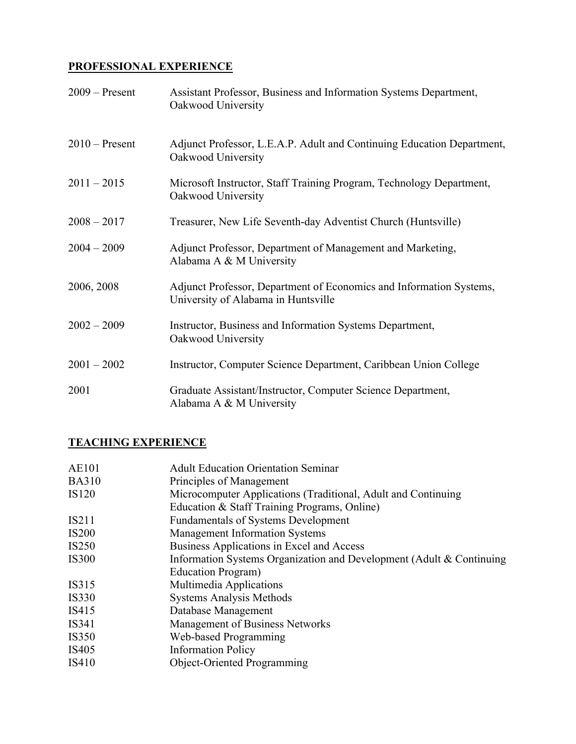## **PROFESSIONAL EXPERIENCE**

| $2009 -$ Present | Assistant Professor, Business and Information Systems Department,<br>Oakwood University                    |
|------------------|------------------------------------------------------------------------------------------------------------|
| $2010$ – Present | Adjunct Professor, L.E.A.P. Adult and Continuing Education Department,<br>Oakwood University               |
| $2011 - 2015$    | Microsoft Instructor, Staff Training Program, Technology Department,<br>Oakwood University                 |
| $2008 - 2017$    | Treasurer, New Life Seventh-day Adventist Church (Huntsville)                                              |
| $2004 - 2009$    | Adjunct Professor, Department of Management and Marketing,<br>Alabama A & M University                     |
| 2006, 2008       | Adjunct Professor, Department of Economics and Information Systems,<br>University of Alabama in Huntsville |
| $2002 - 2009$    | Instructor, Business and Information Systems Department,<br>Oakwood University                             |
| $2001 - 2002$    | Instructor, Computer Science Department, Caribbean Union College                                           |
| 2001             | Graduate Assistant/Instructor, Computer Science Department,<br>Alabama A & M University                    |

### **TEACHING EXPERIENCE**

| <b>Adult Education Orientation Seminar</b>                           |
|----------------------------------------------------------------------|
| Principles of Management                                             |
| Microcomputer Applications (Traditional, Adult and Continuing        |
| Education & Staff Training Programs, Online)                         |
| <b>Fundamentals of Systems Development</b>                           |
| <b>Management Information Systems</b>                                |
| Business Applications in Excel and Access                            |
| Information Systems Organization and Development (Adult & Continuing |
| Education Program)                                                   |
| Multimedia Applications                                              |
| <b>Systems Analysis Methods</b>                                      |
| Database Management                                                  |
| <b>Management of Business Networks</b>                               |
| Web-based Programming                                                |
| <b>Information Policy</b>                                            |
| Object-Oriented Programming                                          |
|                                                                      |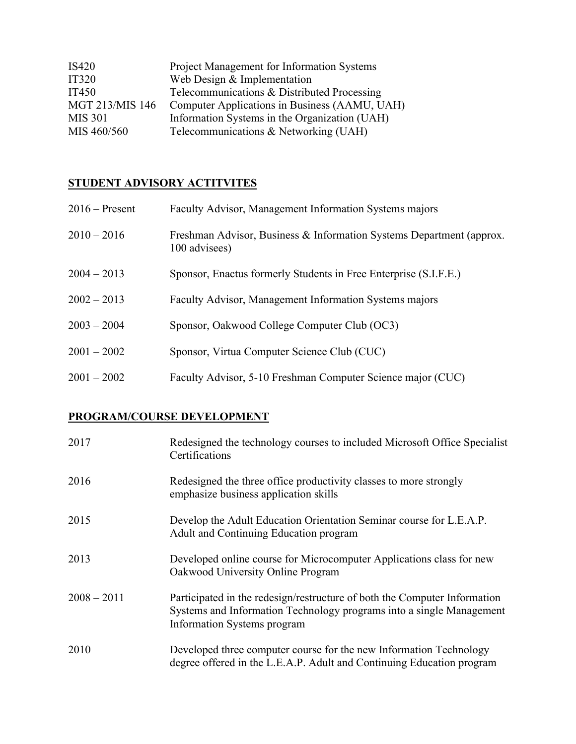| IS420           | <b>Project Management for Information Systems</b> |
|-----------------|---------------------------------------------------|
| <b>IT320</b>    | Web Design & Implementation                       |
| <b>IT450</b>    | Telecommunications & Distributed Processing       |
| MGT 213/MIS 146 | Computer Applications in Business (AAMU, UAH)     |
| <b>MIS 301</b>  | Information Systems in the Organization (UAH)     |
| MIS 460/560     | Telecommunications & Networking (UAH)             |

# **STUDENT ADVISORY ACTITVITES**

| $2016$ – Present | Faculty Advisor, Management Information Systems majors                                |
|------------------|---------------------------------------------------------------------------------------|
| $2010 - 2016$    | Freshman Advisor, Business & Information Systems Department (approx.<br>100 advisees) |
| $2004 - 2013$    | Sponsor, Enactus formerly Students in Free Enterprise (S.I.F.E.)                      |
| $2002 - 2013$    | Faculty Advisor, Management Information Systems majors                                |
| $2003 - 2004$    | Sponsor, Oakwood College Computer Club (OC3)                                          |
| $2001 - 2002$    | Sponsor, Virtua Computer Science Club (CUC)                                           |
| $2001 - 2002$    | Faculty Advisor, 5-10 Freshman Computer Science major (CUC)                           |

# **PROGRAM/COURSE DEVELOPMENT**

| 2017          | Redesigned the technology courses to included Microsoft Office Specialist<br>Certifications                                                                                      |
|---------------|----------------------------------------------------------------------------------------------------------------------------------------------------------------------------------|
| 2016          | Redesigned the three office productivity classes to more strongly<br>emphasize business application skills                                                                       |
| 2015          | Develop the Adult Education Orientation Seminar course for L.E.A.P.<br>Adult and Continuing Education program                                                                    |
| 2013          | Developed online course for Microcomputer Applications class for new<br>Oakwood University Online Program                                                                        |
| $2008 - 2011$ | Participated in the redesign/restructure of both the Computer Information<br>Systems and Information Technology programs into a single Management<br>Information Systems program |
| 2010          | Developed three computer course for the new Information Technology<br>degree offered in the L.E.A.P. Adult and Continuing Education program                                      |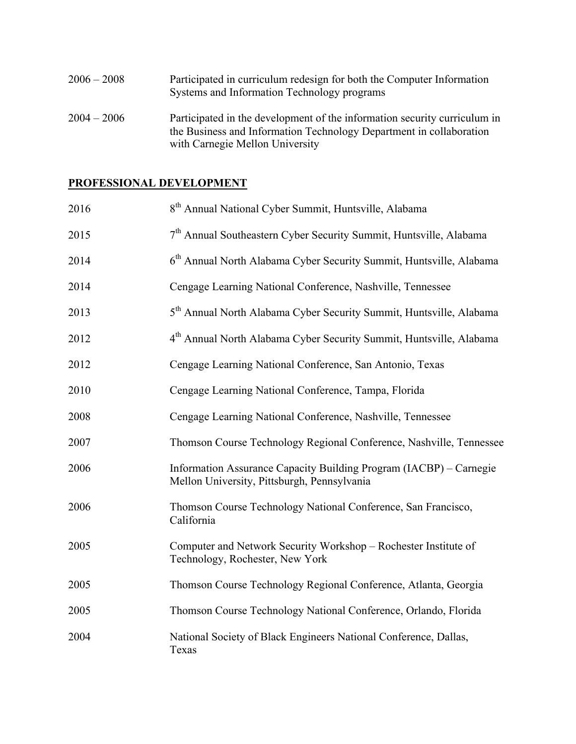| $2006 - 2008$ | Participated in curriculum redesign for both the Computer Information<br>Systems and Information Technology programs                             |
|---------------|--------------------------------------------------------------------------------------------------------------------------------------------------|
| $2004 - 2006$ | Participated in the development of the information security curriculum in<br>the Business and Information Technology Department in collaboration |
|               | with Carnegie Mellon University                                                                                                                  |

### **PROFESSIONAL DEVELOPMENT**

| 2016 | 8 <sup>th</sup> Annual National Cyber Summit, Huntsville, Alabama                                                 |
|------|-------------------------------------------------------------------------------------------------------------------|
| 2015 | 7 <sup>th</sup> Annual Southeastern Cyber Security Summit, Huntsville, Alabama                                    |
| 2014 | 6 <sup>th</sup> Annual North Alabama Cyber Security Summit, Huntsville, Alabama                                   |
| 2014 | Cengage Learning National Conference, Nashville, Tennessee                                                        |
| 2013 | 5 <sup>th</sup> Annual North Alabama Cyber Security Summit, Huntsville, Alabama                                   |
| 2012 | 4 <sup>th</sup> Annual North Alabama Cyber Security Summit, Huntsville, Alabama                                   |
| 2012 | Cengage Learning National Conference, San Antonio, Texas                                                          |
| 2010 | Cengage Learning National Conference, Tampa, Florida                                                              |
| 2008 | Cengage Learning National Conference, Nashville, Tennessee                                                        |
| 2007 | Thomson Course Technology Regional Conference, Nashville, Tennessee                                               |
| 2006 | Information Assurance Capacity Building Program (IACBP) – Carnegie<br>Mellon University, Pittsburgh, Pennsylvania |
| 2006 | Thomson Course Technology National Conference, San Francisco,<br>California                                       |
| 2005 | Computer and Network Security Workshop - Rochester Institute of<br>Technology, Rochester, New York                |
| 2005 | Thomson Course Technology Regional Conference, Atlanta, Georgia                                                   |
| 2005 | Thomson Course Technology National Conference, Orlando, Florida                                                   |
| 2004 | National Society of Black Engineers National Conference, Dallas,<br>Texas                                         |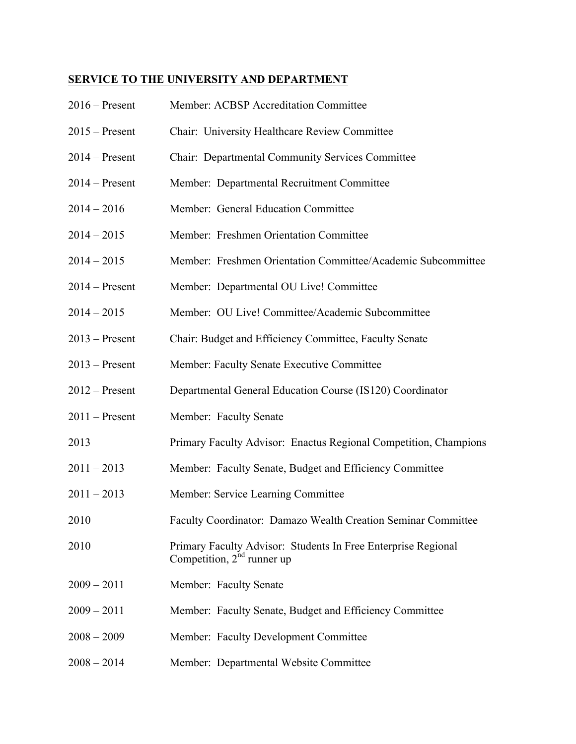# **SERVICE TO THE UNIVERSITY AND DEPARTMENT**

| $2016$ – Present | Member: ACBSP Accreditation Committee                                                            |
|------------------|--------------------------------------------------------------------------------------------------|
| $2015 -$ Present | Chair: University Healthcare Review Committee                                                    |
| $2014 -$ Present | Chair: Departmental Community Services Committee                                                 |
| $2014 -$ Present | Member: Departmental Recruitment Committee                                                       |
| $2014 - 2016$    | Member: General Education Committee                                                              |
| $2014 - 2015$    | Member: Freshmen Orientation Committee                                                           |
| $2014 - 2015$    | Member: Freshmen Orientation Committee/Academic Subcommittee                                     |
| $2014 -$ Present | Member: Departmental OU Live! Committee                                                          |
| $2014 - 2015$    | Member: OU Live! Committee/Academic Subcommittee                                                 |
| $2013$ – Present | Chair: Budget and Efficiency Committee, Faculty Senate                                           |
| $2013$ – Present | Member: Faculty Senate Executive Committee                                                       |
| $2012$ – Present | Departmental General Education Course (IS120) Coordinator                                        |
| $2011$ – Present | Member: Faculty Senate                                                                           |
| 2013             | Primary Faculty Advisor: Enactus Regional Competition, Champions                                 |
| $2011 - 2013$    | Member: Faculty Senate, Budget and Efficiency Committee                                          |
| $2011 - 2013$    | Member: Service Learning Committee                                                               |
| 2010             | Faculty Coordinator: Damazo Wealth Creation Seminar Committee                                    |
| 2010             | Primary Faculty Advisor: Students In Free Enterprise Regional<br>Competition, $2^{nd}$ runner up |
| $2009 - 2011$    | Member: Faculty Senate                                                                           |
| $2009 - 2011$    | Member: Faculty Senate, Budget and Efficiency Committee                                          |
| $2008 - 2009$    | Member: Faculty Development Committee                                                            |
| $2008 - 2014$    | Member: Departmental Website Committee                                                           |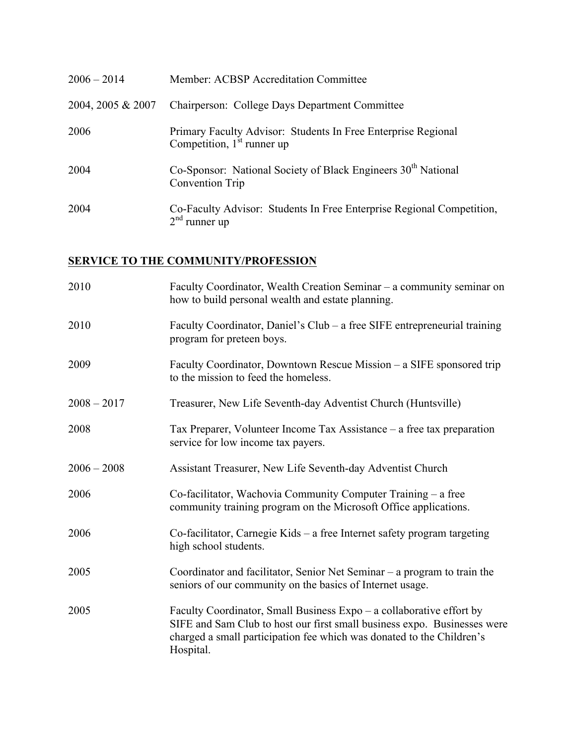| $2006 - 2014$     | Member: ACBSP Accreditation Committee                                                         |
|-------------------|-----------------------------------------------------------------------------------------------|
| 2004, 2005 & 2007 | Chairperson: College Days Department Committee                                                |
| 2006              | Primary Faculty Advisor: Students In Free Enterprise Regional<br>Competition, $1st$ runner up |
| 2004              | Co-Sponsor: National Society of Black Engineers 30 <sup>th</sup> National<br>Convention Trip  |
| 2004              | Co-Faculty Advisor: Students In Free Enterprise Regional Competition,<br>$2nd$ runner up      |

# **SERVICE TO THE COMMUNITY/PROFESSION**

| 2010          | Faculty Coordinator, Wealth Creation Seminar – a community seminar on<br>how to build personal wealth and estate planning.                                                                                                             |
|---------------|----------------------------------------------------------------------------------------------------------------------------------------------------------------------------------------------------------------------------------------|
| 2010          | Faculty Coordinator, Daniel's Club – a free SIFE entrepreneurial training<br>program for preteen boys.                                                                                                                                 |
| 2009          | Faculty Coordinator, Downtown Rescue Mission – a SIFE sponsored trip<br>to the mission to feed the homeless.                                                                                                                           |
| $2008 - 2017$ | Treasurer, New Life Seventh-day Adventist Church (Huntsville)                                                                                                                                                                          |
| 2008          | Tax Preparer, Volunteer Income Tax Assistance – a free tax preparation<br>service for low income tax payers.                                                                                                                           |
| $2006 - 2008$ | Assistant Treasurer, New Life Seventh-day Adventist Church                                                                                                                                                                             |
| 2006          | Co-facilitator, Wachovia Community Computer Training – a free<br>community training program on the Microsoft Office applications.                                                                                                      |
| 2006          | Co-facilitator, Carnegie Kids – a free Internet safety program targeting<br>high school students.                                                                                                                                      |
| 2005          | Coordinator and facilitator, Senior Net Seminar – a program to train the<br>seniors of our community on the basics of Internet usage.                                                                                                  |
| 2005          | Faculty Coordinator, Small Business Expo – a collaborative effort by<br>SIFE and Sam Club to host our first small business expo. Businesses were<br>charged a small participation fee which was donated to the Children's<br>Hospital. |